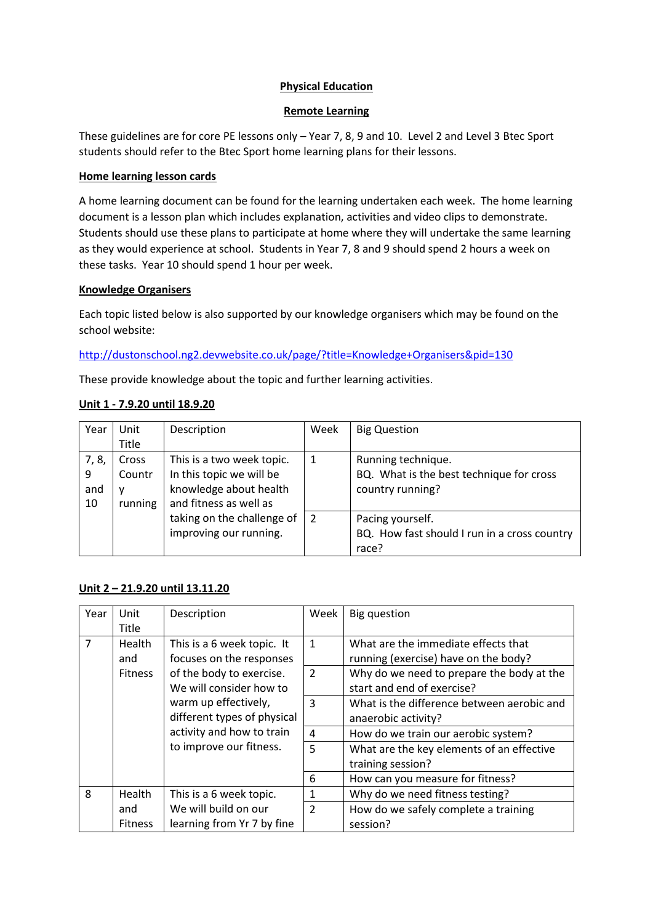# **Physical Education**

## **Remote Learning**

These guidelines are for core PE lessons only – Year 7, 8, 9 and 10. Level 2 and Level 3 Btec Sport students should refer to the Btec Sport home learning plans for their lessons.

## **Home learning lesson cards**

A home learning document can be found for the learning undertaken each week. The home learning document is a lesson plan which includes explanation, activities and video clips to demonstrate. Students should use these plans to participate at home where they will undertake the same learning as they would experience at school. Students in Year 7, 8 and 9 should spend 2 hours a week on these tasks. Year 10 should spend 1 hour per week.

#### **Knowledge Organisers**

Each topic listed below is also supported by our knowledge organisers which may be found on the school website:

<http://dustonschool.ng2.devwebsite.co.uk/page/?title=Knowledge+Organisers&pid=130>

These provide knowledge about the topic and further learning activities.

## **Unit 1 - 7.9.20 until 18.9.20**

| Year  | Unit    | Description                | Week           | <b>Big Question</b>                          |
|-------|---------|----------------------------|----------------|----------------------------------------------|
|       | Title   |                            |                |                                              |
| 7, 8, | Cross   | This is a two week topic.  |                | Running technique.                           |
| 9     | Countr  | In this topic we will be   |                | BQ. What is the best technique for cross     |
| and   | у       | knowledge about health     |                | country running?                             |
| 10    | running | and fitness as well as     |                |                                              |
|       |         | taking on the challenge of | $\overline{2}$ | Pacing yourself.                             |
|       |         | improving our running.     |                | BQ. How fast should I run in a cross country |
|       |         |                            |                | race?                                        |

#### **Unit 2 – 21.9.20 until 13.11.20**

| Year           | Unit<br>Title                                                                                                                                                                        | Description                                            | Week                                                                    | <b>Big question</b>                                                         |
|----------------|--------------------------------------------------------------------------------------------------------------------------------------------------------------------------------------|--------------------------------------------------------|-------------------------------------------------------------------------|-----------------------------------------------------------------------------|
| $\overline{7}$ | Health<br>and                                                                                                                                                                        | This is a 6 week topic. It<br>focuses on the responses | $\mathbf{1}$                                                            | What are the immediate effects that<br>running (exercise) have on the body? |
|                | of the body to exercise.<br><b>Fitness</b><br>We will consider how to<br>warm up effectively,<br>different types of physical<br>activity and how to train<br>to improve our fitness. | $\overline{2}$                                         | Why do we need to prepare the body at the<br>start and end of exercise? |                                                                             |
|                |                                                                                                                                                                                      |                                                        | 3                                                                       | What is the difference between aerobic and<br>anaerobic activity?           |
|                |                                                                                                                                                                                      |                                                        | 4                                                                       | How do we train our aerobic system?                                         |
|                |                                                                                                                                                                                      |                                                        | 5                                                                       | What are the key elements of an effective                                   |
|                |                                                                                                                                                                                      |                                                        |                                                                         | training session?                                                           |
|                |                                                                                                                                                                                      |                                                        | 6                                                                       | How can you measure for fitness?                                            |
| 8              | Health<br>This is a 6 week topic.                                                                                                                                                    | 1                                                      | Why do we need fitness testing?                                         |                                                                             |
|                | and<br><b>Fitness</b>                                                                                                                                                                | We will build on our<br>learning from Yr 7 by fine     | $\overline{2}$                                                          | How do we safely complete a training<br>session?                            |